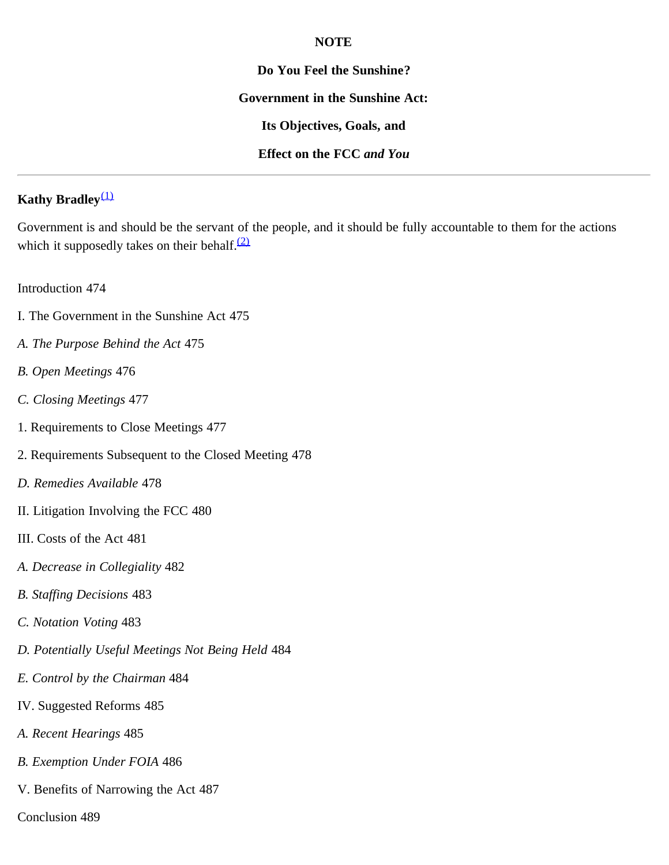#### **NOTE**

**Do You Feel the Sunshine? Government in the Sunshine Act: Its Objectives, Goals, and Effect on the FCC** *and You*

#### **Kathy Bradley**<sup>[\(1\)](#page-7-0)</sup>

Government is and should be the servant of the people, and it should be fully accountable to them for the actions which it supposedly takes on their behalf. $(2)$ 

Introduction 474

- I. The Government in the Sunshine Act 475
- *A. The Purpose Behind the Act* 475
- *B. Open Meetings* 476
- *C. Closing Meetings* 477
- 1. Requirements to Close Meetings 477
- 2. Requirements Subsequent to the Closed Meeting 478
- *D. Remedies Available* 478
- II. Litigation Involving the FCC 480
- III. Costs of the Act 481
- *A. Decrease in Collegiality* 482
- *B. Staffing Decisions* 483
- *C. Notation Voting* 483
- *D. Potentially Useful Meetings Not Being Held* 484
- *E. Control by the Chairman* 484
- IV. Suggested Reforms 485
- *A. Recent Hearings* 485
- *B. Exemption Under FOIA* 486
- V. Benefits of Narrowing the Act 487

Conclusion 489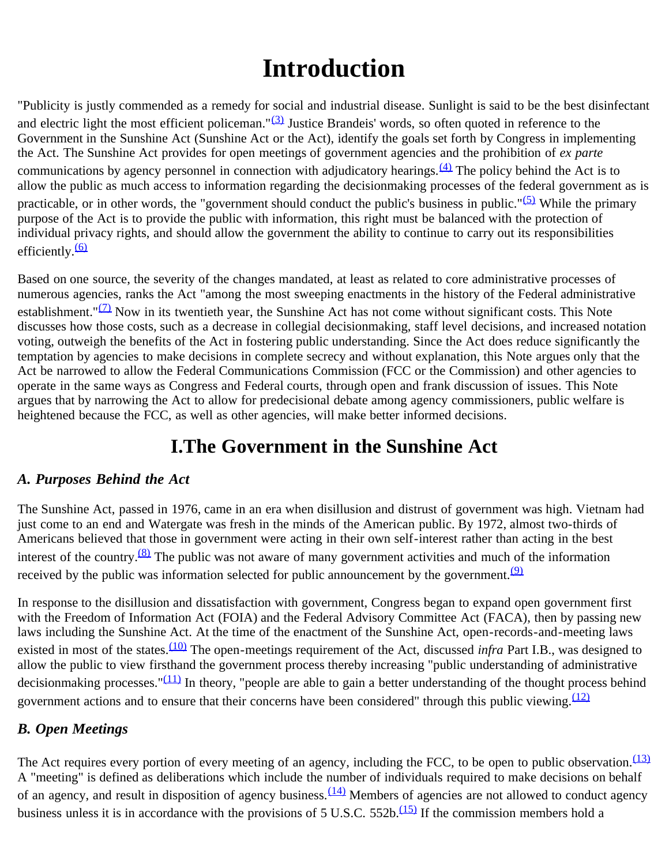# **Introduction**

"Publicity is justly commended as a remedy for social and industrial disease. Sunlight is said to be the best disinfectant and electric light the most efficient policeman."<sup>(3)</sup> Justice Brandeis' words, so often quoted in reference to the Government in the Sunshine Act (Sunshine Act or the Act), identify the goals set forth by Congress in implementing the Act. The Sunshine Act provides for open meetings of government agencies and the prohibition of *ex parte* communications by agency personnel in connection with adjudicatory hearings.  $(4)$  The policy behind the Act is to allow the public as much access to information regarding the decisionmaking processes of the federal government as is practicable, or in other words, the "government should conduct the public's business in public."<sup>(5)</sup> While the primary purpose of the Act is to provide the public with information, this right must be balanced with the protection of individual privacy rights, and should allow the government the ability to continue to carry out its responsibilities efficiently. $\frac{(6)}{6}$  $\frac{(6)}{6}$  $\frac{(6)}{6}$ 

Based on one source, the severity of the changes mandated, at least as related to core administrative processes of numerous agencies, ranks the Act "among the most sweeping enactments in the history of the Federal administrative establishment." $(7)$  Now in its twentieth year, the Sunshine Act has not come without significant costs. This Note discusses how those costs, such as a decrease in collegial decisionmaking, staff level decisions, and increased notation voting, outweigh the benefits of the Act in fostering public understanding. Since the Act does reduce significantly the temptation by agencies to make decisions in complete secrecy and without explanation, this Note argues only that the Act be narrowed to allow the Federal Communications Commission (FCC or the Commission) and other agencies to operate in the same ways as Congress and Federal courts, through open and frank discussion of issues. This Note argues that by narrowing the Act to allow for predecisional debate among agency commissioners, public welfare is heightened because the FCC, as well as other agencies, will make better informed decisions.

# **I.The Government in the Sunshine Act**

#### *A. Purposes Behind the Act*

The Sunshine Act, passed in 1976, came in an era when disillusion and distrust of government was high. Vietnam had just come to an end and Watergate was fresh in the minds of the American public. By 1972, almost two-thirds of Americans believed that those in government were acting in their own self-interest rather than acting in the best interest of the country. $\frac{(8)}{8}$  $\frac{(8)}{8}$  $\frac{(8)}{8}$  The public was not aware of many government activities and much of the information received by the public was information selected for public announcement by the government.  $\frac{(9)}{2}$  $\frac{(9)}{2}$  $\frac{(9)}{2}$ 

In response to the disillusion and dissatisfaction with government, Congress began to expand open government first with the Freedom of Information Act (FOIA) and the Federal Advisory Committee Act (FACA), then by passing new laws including the Sunshine Act. At the time of the enactment of the Sunshine Act, open-records-and-meeting laws existed in most of the states.<sup>(10)</sup> The open-meetings requirement of the Act, discussed *infra* Part I.B., was designed to allow the public to view firsthand the government process thereby increasing "public understanding of administrative decisionmaking processes." $(11)$  In theory, "people are able to gain a better understanding of the thought process behind government actions and to ensure that their concerns have been considered" through this public viewing.<sup>[\(12\)](#page-8-0)</sup>

### *B. Open Meetings*

The Act requires every portion of every meeting of an agency, including the FCC, to be open to public observation. $\frac{(13)}{(13)}$  $\frac{(13)}{(13)}$  $\frac{(13)}{(13)}$ A "meeting" is defined as deliberations which include the number of individuals required to make decisions on behalf of an agency, and result in disposition of agency business.  $(14)$  Members of agencies are not allowed to conduct agency business unless it is in accordance with the provisions of 5 U.S.C. 552b. $\frac{(15)}{15}$  If the commission members hold a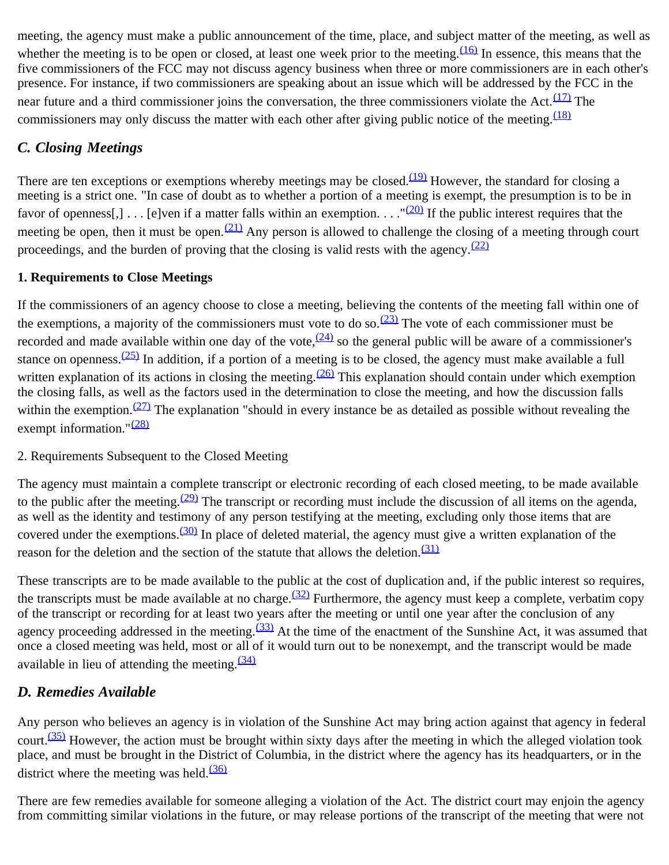meeting, the agency must make a public announcement of the time, place, and subject matter of the meeting, as well as whether the meeting is to be open or closed, at least one week prior to the meeting.  $(16)$  In essence, this means that the five commissioners of the FCC may not discuss agency business when three or more commissioners are in each other's presence. For instance, if two commissioners are speaking about an issue which will be addressed by the FCC in the near future and a third commissioner joins the conversation, the three commissioners violate the Act. $(17)$  The commissioners may only discuss the matter with each other after giving public notice of the meeting.  $(18)$ 

### *C. Closing Meetings*

There are ten exceptions or exemptions whereby meetings may be closed.<sup>(19)</sup> However, the standard for closing a meeting is a strict one. "In case of doubt as to whether a portion of a meeting is exempt, the presumption is to be in favor of openness[,] . . . [e]ven if a matter falls within an exemption. . . . " $(20)$  If the public interest requires that the meeting be open, then it must be open.<sup>(21)</sup> Any person is allowed to challenge the closing of a meeting through court proceedings, and the burden of proving that the closing is valid rests with the agency. $(22)$ 

#### **1. Requirements to Close Meetings**

If the commissioners of an agency choose to close a meeting, believing the contents of the meeting fall within one of the exemptions, a majority of the commissioners must vote to do so. $\frac{(23)}{(23)}$  The vote of each commissioner must be recorded and made available within one day of the vote,  $(24)$  so the general public will be aware of a commissioner's stance on openness.  $(25)$  In addition, if a portion of a meeting is to be closed, the agency must make available a full written explanation of its actions in closing the meeting.<sup>(26)</sup> This explanation should contain under which exemption the closing falls, as well as the factors used in the determination to close the meeting, and how the discussion falls within the exemption.  $(27)$  The explanation "should in every instance be as detailed as possible without revealing the exempt information." $(28)$ 

#### 2. Requirements Subsequent to the Closed Meeting

The agency must maintain a complete transcript or electronic recording of each closed meeting, to be made available to the public after the meeting.<sup>(29)</sup> The transcript or recording must include the discussion of all items on the agenda, as well as the identity and testimony of any person testifying at the meeting, excluding only those items that are covered under the exemptions.<sup>(30)</sup> In place of deleted material, the agency must give a written explanation of the reason for the deletion and the section of the statute that allows the deletion. $(31)$ 

These transcripts are to be made available to the public at the cost of duplication and, if the public interest so requires, the transcripts must be made available at no charge.<sup>(32)</sup> Furthermore, the agency must keep a complete, verbatim copy of the transcript or recording for at least two years after the meeting or until one year after the conclusion of any agency proceeding addressed in the meeting.<sup>(33)</sup> At the time of the enactment of the Sunshine Act, it was assumed that once a closed meeting was held, most or all of it would turn out to be nonexempt, and the transcript would be made available in lieu of attending the meeting. $(34)$ 

### *D. Remedies Available*

Any person who believes an agency is in violation of the Sunshine Act may bring action against that agency in federal court. $(35)$  However, the action must be brought within sixty days after the meeting in which the alleged violation took place, and must be brought in the District of Columbia, in the district where the agency has its headquarters, or in the district where the meeting was held. $\frac{(36)}{2}$  $\frac{(36)}{2}$  $\frac{(36)}{2}$ 

There are few remedies available for someone alleging a violation of the Act. The district court may enjoin the agency from committing similar violations in the future, or may release portions of the transcript of the meeting that were not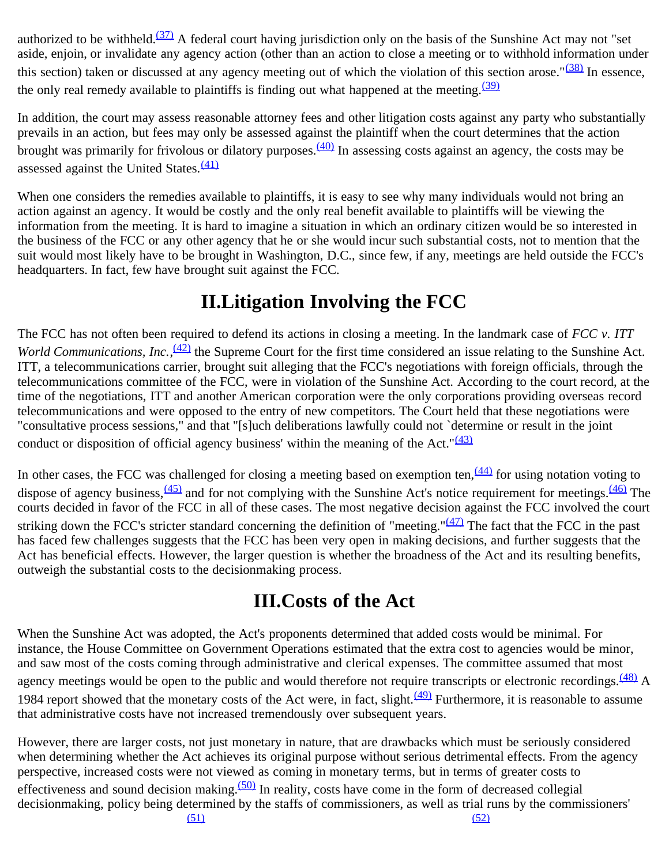authorized to be withheld.<sup>(37)</sup> A federal court having jurisdiction only on the basis of the Sunshine Act may not "set aside, enjoin, or invalidate any agency action (other than an action to close a meeting or to withhold information under this section) taken or discussed at any agency meeting out of which the violation of this section arose." $(38)$  In essence, the only real remedy available to plaintiffs is finding out what happened at the meeting.  $(39)$ 

In addition, the court may assess reasonable attorney fees and other litigation costs against any party who substantially prevails in an action, but fees may only be assessed against the plaintiff when the court determines that the action brought was primarily for frivolous or dilatory purposes. $(40)$  In assessing costs against an agency, the costs may be assessed against the United States. $\frac{(41)}{41}$  $\frac{(41)}{41}$  $\frac{(41)}{41}$ 

When one considers the remedies available to plaintiffs, it is easy to see why many individuals would not bring an action against an agency. It would be costly and the only real benefit available to plaintiffs will be viewing the information from the meeting. It is hard to imagine a situation in which an ordinary citizen would be so interested in the business of the FCC or any other agency that he or she would incur such substantial costs, not to mention that the suit would most likely have to be brought in Washington, D.C., since few, if any, meetings are held outside the FCC's headquarters. In fact, few have brought suit against the FCC.

# **II.Litigation Involving the FCC**

The FCC has not often been required to defend its actions in closing a meeting. In the landmark case of *FCC v. ITT World Communications, Inc.*, <sup>(42)</sup> the Supreme Court for the first time considered an issue relating to the Sunshine Act. ITT, a telecommunications carrier, brought suit alleging that the FCC's negotiations with foreign officials, through the telecommunications committee of the FCC, were in violation of the Sunshine Act. According to the court record, at the time of the negotiations, ITT and another American corporation were the only corporations providing overseas record telecommunications and were opposed to the entry of new competitors. The Court held that these negotiations were "consultative process sessions," and that "[s]uch deliberations lawfully could not `determine or result in the joint conduct or disposition of official agency business' within the meaning of the Act." $(43)$ 

In other cases, the FCC was challenged for closing a meeting based on exemption ten,  $(44)$  for using notation voting to dispose of agency business,  $\frac{(45)}{2}$  and for not complying with the Sunshine Act's notice requirement for meetings.  $\frac{(46)}{2}$  The courts decided in favor of the FCC in all of these cases. The most negative decision against the FCC involved the court striking down the FCC's stricter standard concerning the definition of "meeting." $(47)$  The fact that the FCC in the past has faced few challenges suggests that the FCC has been very open in making decisions, and further suggests that the Act has beneficial effects. However, the larger question is whether the broadness of the Act and its resulting benefits, outweigh the substantial costs to the decisionmaking process.

# **III.Costs of the Act**

When the Sunshine Act was adopted, the Act's proponents determined that added costs would be minimal. For instance, the House Committee on Government Operations estimated that the extra cost to agencies would be minor, and saw most of the costs coming through administrative and clerical expenses. The committee assumed that most agency meetings would be open to the public and would therefore not require transcripts or electronic recordings. $\frac{(48)}{9}$  A 1984 report showed that the monetary costs of the Act were, in fact, slight. $\frac{(49)}{(49)}$  Furthermore, it is reasonable to assume that administrative costs have not increased tremendously over subsequent years.

However, there are larger costs, not just monetary in nature, that are drawbacks which must be seriously considered when determining whether the Act achieves its original purpose without serious detrimental effects. From the agency perspective, increased costs were not viewed as coming in monetary terms, but in terms of greater costs to effectiveness and sound decision making.<sup> $(50)$ </sup> In reality, costs have come in the form of decreased collegial decisionmaking, policy being determined by the staffs of commissioners, as well as trial runs by the commissioners'

 $(51)$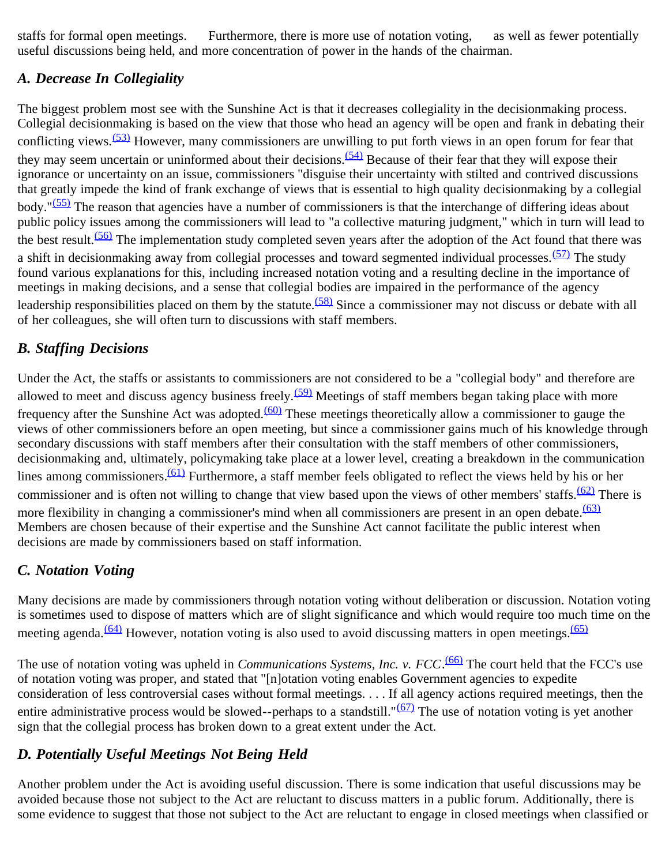staffs for formal open meetings. Furthermore, there is more use of notation voting, as well as fewer potentially useful discussions being held, and more concentration of power in the hands of the chairman.

### *A. Decrease In Collegiality*

The biggest problem most see with the Sunshine Act is that it decreases collegiality in the decisionmaking process. Collegial decisionmaking is based on the view that those who head an agency will be open and frank in debating their conflicting views.<sup>(53)</sup> However, many commissioners are unwilling to put forth views in an open forum for fear that they may seem uncertain or uninformed about their decisions.  $(54)$  Because of their fear that they will expose their ignorance or uncertainty on an issue, commissioners "disguise their uncertainty with stilted and contrived discussions that greatly impede the kind of frank exchange of views that is essential to high quality decisionmaking by a collegial body." $(55)$  The reason that agencies have a number of commissioners is that the interchange of differing ideas about public policy issues among the commissioners will lead to "a collective maturing judgment," which in turn will lead to the best result.<sup>(56)</sup> The implementation study completed seven years after the adoption of the Act found that there was a shift in decisionmaking away from collegial processes and toward segmented individual processes.<sup>(57)</sup> The study found various explanations for this, including increased notation voting and a resulting decline in the importance of meetings in making decisions, and a sense that collegial bodies are impaired in the performance of the agency leadership responsibilities placed on them by the statute.<sup>(58)</sup> Since a commissioner may not discuss or debate with all of her colleagues, she will often turn to discussions with staff members.

#### *B. Staffing Decisions*

Under the Act, the staffs or assistants to commissioners are not considered to be a "collegial body" and therefore are allowed to meet and discuss agency business freely.<sup> $(59)$ </sup> Meetings of staff members began taking place with more frequency after the Sunshine Act was adopted. $(60)$  These meetings theoretically allow a commissioner to gauge the views of other commissioners before an open meeting, but since a commissioner gains much of his knowledge through secondary discussions with staff members after their consultation with the staff members of other commissioners, decisionmaking and, ultimately, policymaking take place at a lower level, creating a breakdown in the communication lines among commissioners.<sup>(61)</sup> Furthermore, a staff member feels obligated to reflect the views held by his or her commissioner and is often not willing to change that view based upon the views of other members' staffs.<sup>(62)</sup> There is more flexibility in changing a commissioner's mind when all commissioners are present in an open debate.<sup>[\(63\)](#page-11-10)</sup> Members are chosen because of their expertise and the Sunshine Act cannot facilitate the public interest when decisions are made by commissioners based on staff information.

### *C. Notation Voting*

Many decisions are made by commissioners through notation voting without deliberation or discussion. Notation voting is sometimes used to dispose of matters which are of slight significance and which would require too much time on the meeting agenda.<sup> $(64)$ </sup> However, notation voting is also used to avoid discussing matters in open meetings.<sup>(65)</sup>

The use of notation voting was upheld in *Communications Systems, Inc. v. FCC*.<sup>(66)</sup> The court held that the FCC's use of notation voting was proper, and stated that "[n]otation voting enables Government agencies to expedite consideration of less controversial cases without formal meetings. . . . If all agency actions required meetings, then the entire administrative process would be slowed--perhaps to a standstill." $(67)$  The use of notation voting is yet another sign that the collegial process has broken down to a great extent under the Act.

### *D. Potentially Useful Meetings Not Being Held*

Another problem under the Act is avoiding useful discussion. There is some indication that useful discussions may be avoided because those not subject to the Act are reluctant to discuss matters in a public forum. Additionally, there is some evidence to suggest that those not subject to the Act are reluctant to engage in closed meetings when classified or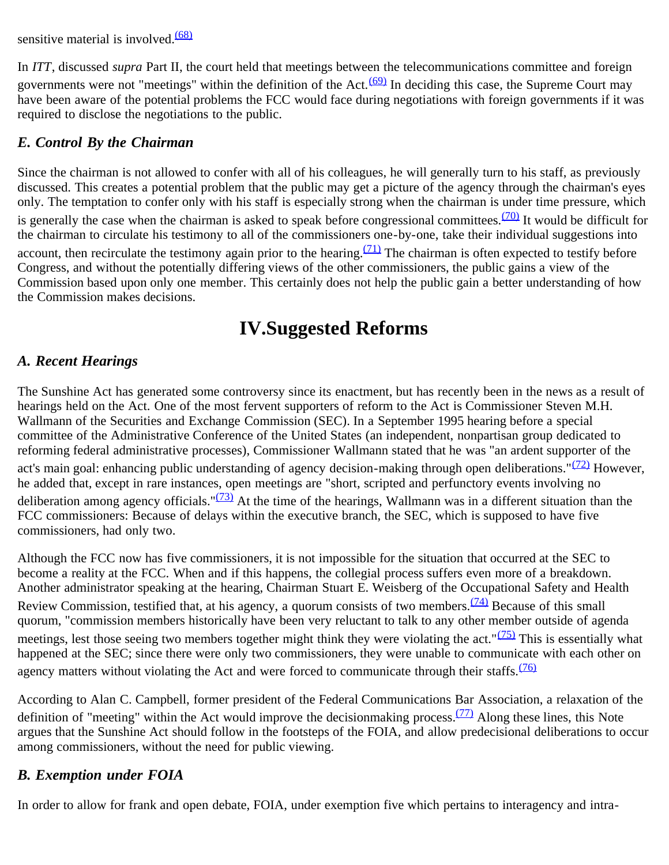sensitive material is involved. $(68)$ 

In *ITT*, discussed *supra* Part II, the court held that meetings between the telecommunications committee and foreign governments were not "meetings" within the definition of the Act. $(69)$  In deciding this case, the Supreme Court may have been aware of the potential problems the FCC would face during negotiations with foreign governments if it was required to disclose the negotiations to the public.

#### *E. Control By the Chairman*

Since the chairman is not allowed to confer with all of his colleagues, he will generally turn to his staff, as previously discussed. This creates a potential problem that the public may get a picture of the agency through the chairman's eyes only. The temptation to confer only with his staff is especially strong when the chairman is under time pressure, which is generally the case when the chairman is asked to speak before congressional committees. $(70)$  It would be difficult for the chairman to circulate his testimony to all of the commissioners one-by-one, take their individual suggestions into account, then recirculate the testimony again prior to the hearing.<sup>(71)</sup> The chairman is often expected to testify before Congress, and without the potentially differing views of the other commissioners, the public gains a view of the Commission based upon only one member. This certainly does not help the public gain a better understanding of how the Commission makes decisions.

# **IV.Suggested Reforms**

#### *A. Recent Hearings*

The Sunshine Act has generated some controversy since its enactment, but has recently been in the news as a result of hearings held on the Act. One of the most fervent supporters of reform to the Act is Commissioner Steven M.H. Wallmann of the Securities and Exchange Commission (SEC). In a September 1995 hearing before a special committee of the Administrative Conference of the United States (an independent, nonpartisan group dedicated to reforming federal administrative processes), Commissioner Wallmann stated that he was "an ardent supporter of the act's main goal: enhancing public understanding of agency decision-making through open deliberations."<sup>(72)</sup> However, he added that, except in rare instances, open meetings are "short, scripted and perfunctory events involving no deliberation among agency officials." $(73)$  At the time of the hearings, Wallmann was in a different situation than the FCC commissioners: Because of delays within the executive branch, the SEC, which is supposed to have five commissioners, had only two.

Although the FCC now has five commissioners, it is not impossible for the situation that occurred at the SEC to become a reality at the FCC. When and if this happens, the collegial process suffers even more of a breakdown. Another administrator speaking at the hearing, Chairman Stuart E. Weisberg of the Occupational Safety and Health Review Commission, testified that, at his agency, a quorum consists of two members.<sup>(74)</sup> Because of this small quorum, "commission members historically have been very reluctant to talk to any other member outside of agenda meetings, lest those seeing two members together might think they were violating the act." $(75)$  This is essentially what happened at the SEC; since there were only two commissioners, they were unable to communicate with each other on agency matters without violating the Act and were forced to communicate through their staffs.<sup>[\(76\)](#page-12-4)</sup>

According to Alan C. Campbell, former president of the Federal Communications Bar Association, a relaxation of the definition of "meeting" within the Act would improve the decision making process.<sup>(77)</sup> Along these lines, this Note argues that the Sunshine Act should follow in the footsteps of the FOIA, and allow predecisional deliberations to occur among commissioners, without the need for public viewing.

#### *B. Exemption under FOIA*

In order to allow for frank and open debate, FOIA, under exemption five which pertains to interagency and intra-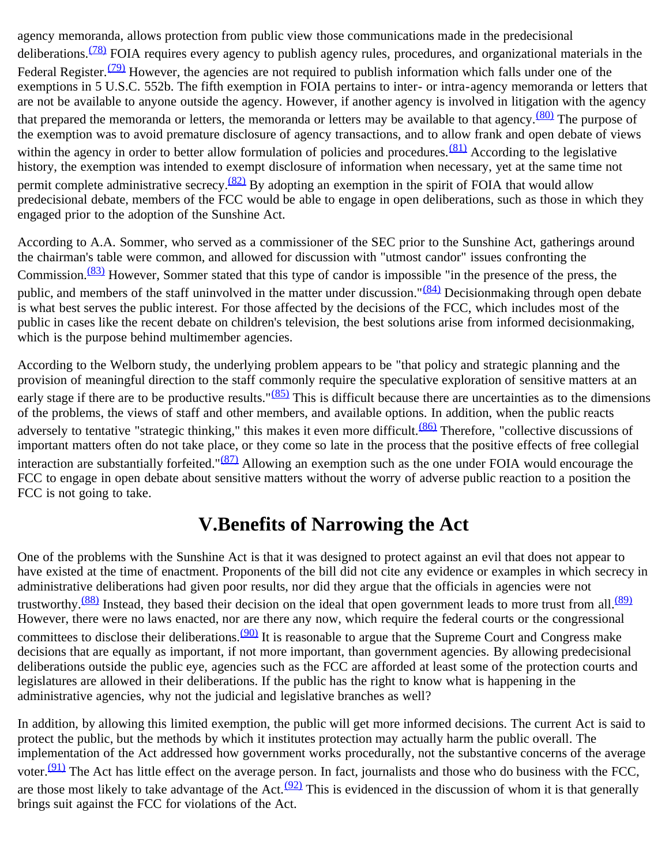agency memoranda, allows protection from public view those communications made in the predecisional deliberations.<sup>(78)</sup> FOIA requires every agency to publish agency rules, procedures, and organizational materials in the Federal Register.<sup> $(79)$ </sup> However, the agencies are not required to publish information which falls under one of the exemptions in 5 U.S.C. 552b. The fifth exemption in FOIA pertains to inter- or intra-agency memoranda or letters that are not be available to anyone outside the agency. However, if another agency is involved in litigation with the agency that prepared the memoranda or letters, the memoranda or letters may be available to that agency.<sup>(80)</sup> The purpose of the exemption was to avoid premature disclosure of agency transactions, and to allow frank and open debate of views within the agency in order to better allow formulation of policies and procedures.<sup>(81)</sup> According to the legislative history, the exemption was intended to exempt disclosure of information when necessary, yet at the same time not permit complete administrative secrecy. $\frac{(82)}{2}$  By adopting an exemption in the spirit of FOIA that would allow predecisional debate, members of the FCC would be able to engage in open deliberations, such as those in which they engaged prior to the adoption of the Sunshine Act.

According to A.A. Sommer, who served as a commissioner of the SEC prior to the Sunshine Act, gatherings around the chairman's table were common, and allowed for discussion with "utmost candor" issues confronting the Commission.<sup>(83)</sup> However, Sommer stated that this type of candor is impossible "in the presence of the press, the public, and members of the staff uninvolved in the matter under discussion." $(84)$  Decisionmaking through open debate is what best serves the public interest. For those affected by the decisions of the FCC, which includes most of the public in cases like the recent debate on children's television, the best solutions arise from informed decisionmaking, which is the purpose behind multimember agencies.

According to the Welborn study, the underlying problem appears to be "that policy and strategic planning and the provision of meaningful direction to the staff commonly require the speculative exploration of sensitive matters at an early stage if there are to be productive results." $(85)$  This is difficult because there are uncertainties as to the dimensions of the problems, the views of staff and other members, and available options. In addition, when the public reacts adversely to tentative "strategic thinking," this makes it even more difficult.<sup>(86)</sup> Therefore, "collective discussions of important matters often do not take place, or they come so late in the process that the positive effects of free collegial interaction are substantially forfeited." $(87)$  Allowing an exemption such as the one under FOIA would encourage the FCC to engage in open debate about sensitive matters without the worry of adverse public reaction to a position the FCC is not going to take.

## **V.Benefits of Narrowing the Act**

One of the problems with the Sunshine Act is that it was designed to protect against an evil that does not appear to have existed at the time of enactment. Proponents of the bill did not cite any evidence or examples in which secrecy in administrative deliberations had given poor results, nor did they argue that the officials in agencies were not trustworthy.<sup>(88)</sup> Instead, they based their decision on the ideal that open government leads to more trust from all.<sup>[\(89\)](#page-12-17)</sup> However, there were no laws enacted, nor are there any now, which require the federal courts or the congressional committees to disclose their deliberations.<sup>(90)</sup> It is reasonable to argue that the Supreme Court and Congress make decisions that are equally as important, if not more important, than government agencies. By allowing predecisional deliberations outside the public eye, agencies such as the FCC are afforded at least some of the protection courts and legislatures are allowed in their deliberations. If the public has the right to know what is happening in the administrative agencies, why not the judicial and legislative branches as well?

In addition, by allowing this limited exemption, the public will get more informed decisions. The current Act is said to protect the public, but the methods by which it institutes protection may actually harm the public overall. The implementation of the Act addressed how government works procedurally, not the substantive concerns of the average voter. $\frac{(91)}{2}$  The Act has little effect on the average person. In fact, journalists and those who do business with the FCC, are those most likely to take advantage of the Act.<sup>(92)</sup> This is evidenced in the discussion of whom it is that generally brings suit against the FCC for violations of the Act.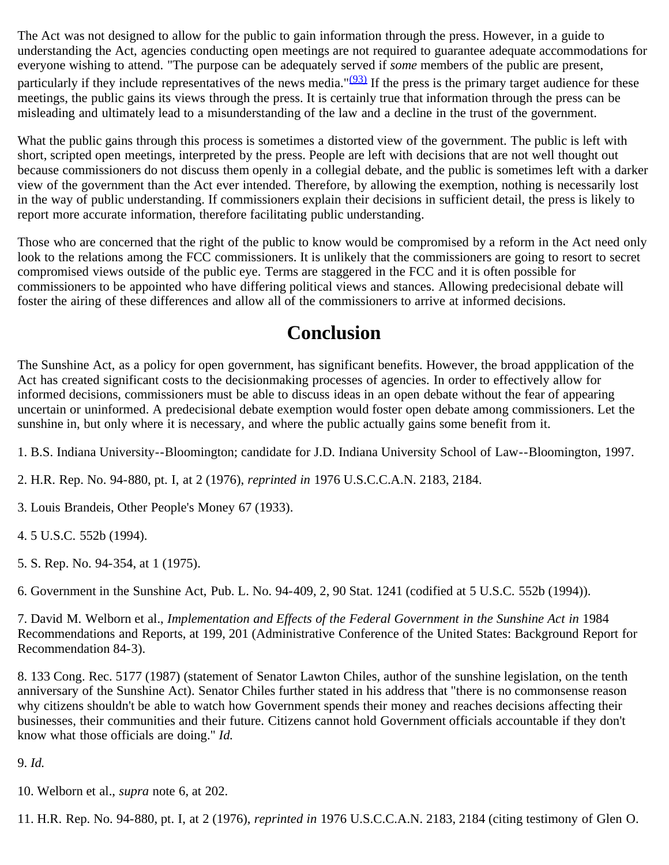The Act was not designed to allow for the public to gain information through the press. However, in a guide to understanding the Act, agencies conducting open meetings are not required to guarantee adequate accommodations for everyone wishing to attend. "The purpose can be adequately served if *some* members of the public are present, particularly if they include representatives of the news media." $(93)$  If the press is the primary target audience for these meetings, the public gains its views through the press. It is certainly true that information through the press can be misleading and ultimately lead to a misunderstanding of the law and a decline in the trust of the government.

What the public gains through this process is sometimes a distorted view of the government. The public is left with short, scripted open meetings, interpreted by the press. People are left with decisions that are not well thought out because commissioners do not discuss them openly in a collegial debate, and the public is sometimes left with a darker view of the government than the Act ever intended. Therefore, by allowing the exemption, nothing is necessarily lost in the way of public understanding. If commissioners explain their decisions in sufficient detail, the press is likely to report more accurate information, therefore facilitating public understanding.

Those who are concerned that the right of the public to know would be compromised by a reform in the Act need only look to the relations among the FCC commissioners. It is unlikely that the commissioners are going to resort to secret compromised views outside of the public eye. Terms are staggered in the FCC and it is often possible for commissioners to be appointed who have differing political views and stances. Allowing predecisional debate will foster the airing of these differences and allow all of the commissioners to arrive at informed decisions.

# **Conclusion**

The Sunshine Act, as a policy for open government, has significant benefits. However, the broad appplication of the Act has created significant costs to the decisionmaking processes of agencies. In order to effectively allow for informed decisions, commissioners must be able to discuss ideas in an open debate without the fear of appearing uncertain or uninformed. A predecisional debate exemption would foster open debate among commissioners. Let the sunshine in, but only where it is necessary, and where the public actually gains some benefit from it.

<span id="page-7-0"></span>1. B.S. Indiana University--Bloomington; candidate for J.D. Indiana University School of Law--Bloomington, 1997.

<span id="page-7-1"></span>2. H.R. Rep. No. 94-880, pt. I, at 2 (1976), *reprinted in* 1976 U.S.C.C.A.N. 2183, 2184.

<span id="page-7-2"></span>3. Louis Brandeis, Other People's Money 67 (1933).

<span id="page-7-3"></span>4. 5 U.S.C. 552b (1994).

<span id="page-7-4"></span>5. S. Rep. No. 94-354, at 1 (1975).

<span id="page-7-5"></span>6. Government in the Sunshine Act, Pub. L. No. 94-409, 2, 90 Stat. 1241 (codified at 5 U.S.C. 552b (1994)).

<span id="page-7-6"></span>7. David M. Welborn et al., *Implementation and Effects of the Federal Government in the Sunshine Act in* 1984 Recommendations and Reports, at 199, 201 (Administrative Conference of the United States: Background Report for Recommendation 84-3).

<span id="page-7-7"></span>8. 133 Cong. Rec. 5177 (1987) (statement of Senator Lawton Chiles, author of the sunshine legislation, on the tenth anniversary of the Sunshine Act). Senator Chiles further stated in his address that "there is no commonsense reason why citizens shouldn't be able to watch how Government spends their money and reaches decisions affecting their businesses, their communities and their future. Citizens cannot hold Government officials accountable if they don't know what those officials are doing." *Id.*

<span id="page-7-8"></span>9. *Id.*

<span id="page-7-9"></span>10. Welborn et al., *supra* note 6, at 202.

<span id="page-7-10"></span>11. H.R. Rep. No. 94-880, pt. I, at 2 (1976), *reprinted in* 1976 U.S.C.C.A.N. 2183, 2184 (citing testimony of Glen O.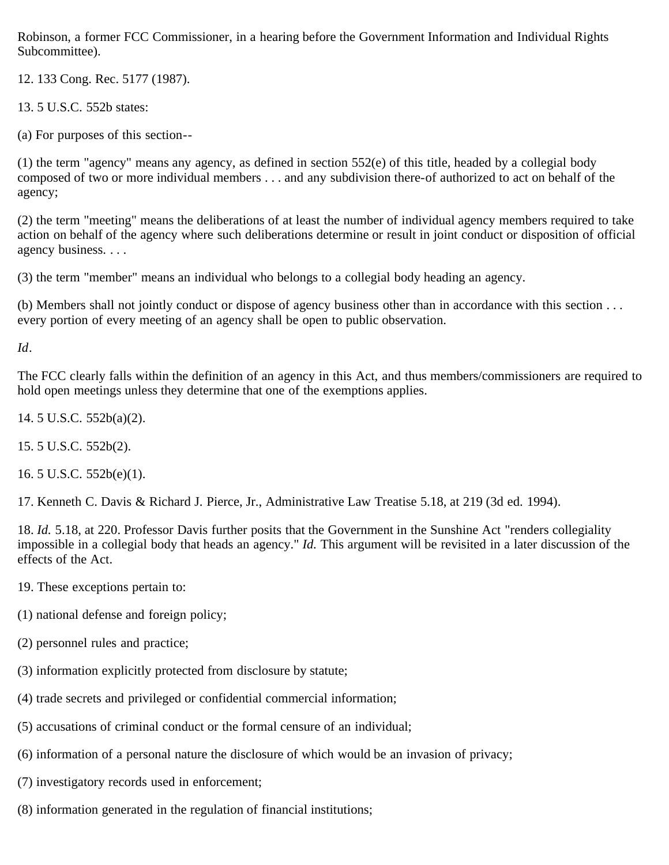Robinson, a former FCC Commissioner, in a hearing before the Government Information and Individual Rights Subcommittee).

<span id="page-8-0"></span>12. 133 Cong. Rec. 5177 (1987).

<span id="page-8-1"></span>13. 5 U.S.C. 552b states:

(a) For purposes of this section--

(1) the term "agency" means any agency, as defined in section 552(e) of this title, headed by a collegial body composed of two or more individual members . . . and any subdivision there-of authorized to act on behalf of the agency;

(2) the term "meeting" means the deliberations of at least the number of individual agency members required to take action on behalf of the agency where such deliberations determine or result in joint conduct or disposition of official agency business. . . .

(3) the term "member" means an individual who belongs to a collegial body heading an agency.

(b) Members shall not jointly conduct or dispose of agency business other than in accordance with this section . . . every portion of every meeting of an agency shall be open to public observation.

*Id*.

The FCC clearly falls within the definition of an agency in this Act, and thus members/commissioners are required to hold open meetings unless they determine that one of the exemptions applies.

<span id="page-8-2"></span>14. 5 U.S.C. 552b(a)(2).

<span id="page-8-3"></span>15. 5 U.S.C. 552b(2).

<span id="page-8-4"></span>16. 5 U.S.C. 552b(e)(1).

<span id="page-8-5"></span>17. Kenneth C. Davis & Richard J. Pierce, Jr., Administrative Law Treatise 5.18, at 219 (3d ed. 1994).

<span id="page-8-6"></span>18. *Id.* 5.18, at 220. Professor Davis further posits that the Government in the Sunshine Act "renders collegiality impossible in a collegial body that heads an agency." *Id.* This argument will be revisited in a later discussion of the effects of the Act.

- <span id="page-8-7"></span>19. These exceptions pertain to:
- (1) national defense and foreign policy;
- (2) personnel rules and practice;
- (3) information explicitly protected from disclosure by statute;
- (4) trade secrets and privileged or confidential commercial information;
- (5) accusations of criminal conduct or the formal censure of an individual;
- (6) information of a personal nature the disclosure of which would be an invasion of privacy;
- (7) investigatory records used in enforcement;
- (8) information generated in the regulation of financial institutions;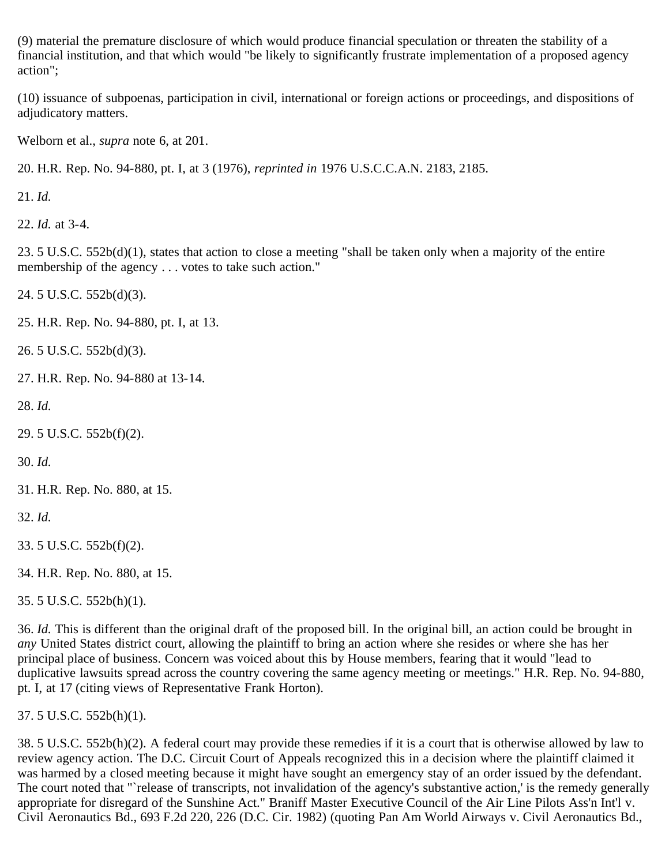(9) material the premature disclosure of which would produce financial speculation or threaten the stability of a financial institution, and that which would "be likely to significantly frustrate implementation of a proposed agency action";

(10) issuance of subpoenas, participation in civil, international or foreign actions or proceedings, and dispositions of adjudicatory matters.

Welborn et al., *supra* note 6, at 201.

<span id="page-9-0"></span>20. H.R. Rep. No. 94-880, pt. I, at 3 (1976), *reprinted in* 1976 U.S.C.C.A.N. 2183, 2185.

<span id="page-9-1"></span>21. *Id.*

<span id="page-9-2"></span>22. *Id.* at 3-4.

<span id="page-9-3"></span>23. 5 U.S.C. 552b(d)(1), states that action to close a meeting "shall be taken only when a majority of the entire membership of the agency . . . votes to take such action."

<span id="page-9-4"></span>24. 5 U.S.C. 552b(d)(3).

<span id="page-9-5"></span>25. H.R. Rep. No. 94-880, pt. I, at 13.

<span id="page-9-6"></span>26. 5 U.S.C. 552b(d)(3).

<span id="page-9-7"></span>27. H.R. Rep. No. 94-880 at 13-14.

<span id="page-9-8"></span>28. *Id.*

<span id="page-9-9"></span>29. 5 U.S.C. 552b(f)(2).

<span id="page-9-10"></span>30. *Id.*

<span id="page-9-11"></span>31. H.R. Rep. No. 880, at 15.

<span id="page-9-12"></span>32. *Id.*

<span id="page-9-13"></span>33. 5 U.S.C. 552b(f)(2).

<span id="page-9-14"></span>34. H.R. Rep. No. 880, at 15.

<span id="page-9-15"></span>35. 5 U.S.C. 552b(h)(1).

<span id="page-9-16"></span>36. *Id.* This is different than the original draft of the proposed bill. In the original bill, an action could be brought in *any* United States district court, allowing the plaintiff to bring an action where she resides or where she has her principal place of business. Concern was voiced about this by House members, fearing that it would "lead to duplicative lawsuits spread across the country covering the same agency meeting or meetings." H.R. Rep. No. 94-880, pt. I, at 17 (citing views of Representative Frank Horton).

<span id="page-9-17"></span>37. 5 U.S.C. 552b(h)(1).

<span id="page-9-18"></span>38. 5 U.S.C. 552b(h)(2). A federal court may provide these remedies if it is a court that is otherwise allowed by law to review agency action. The D.C. Circuit Court of Appeals recognized this in a decision where the plaintiff claimed it was harmed by a closed meeting because it might have sought an emergency stay of an order issued by the defendant. The court noted that "`release of transcripts, not invalidation of the agency's substantive action,' is the remedy generally appropriate for disregard of the Sunshine Act." Braniff Master Executive Council of the Air Line Pilots Ass'n Int'l v. Civil Aeronautics Bd., 693 F.2d 220, 226 (D.C. Cir. 1982) (quoting Pan Am World Airways v. Civil Aeronautics Bd.,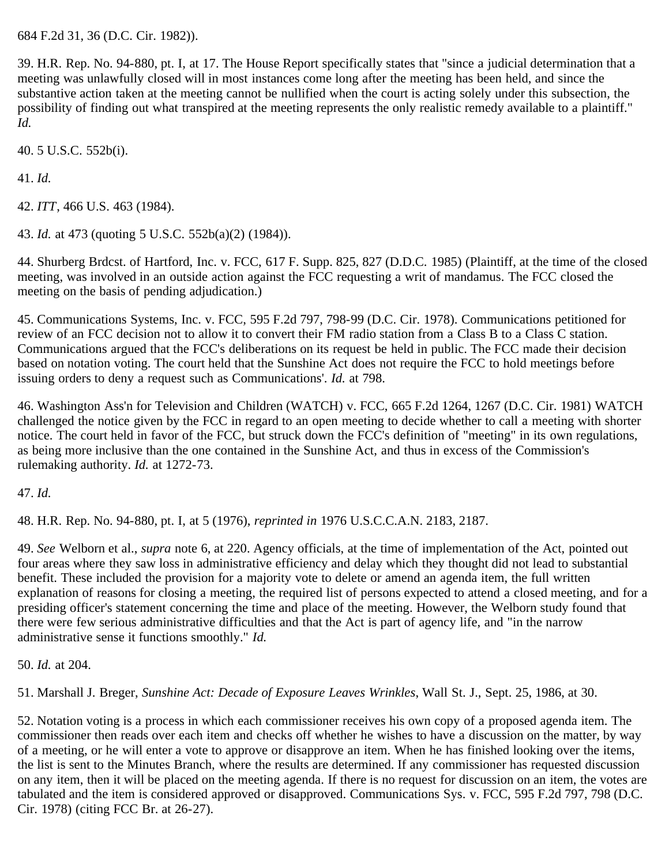684 F.2d 31, 36 (D.C. Cir. 1982)).

<span id="page-10-0"></span>39. H.R. Rep. No. 94-880, pt. I, at 17. The House Report specifically states that "since a judicial determination that a meeting was unlawfully closed will in most instances come long after the meeting has been held, and since the substantive action taken at the meeting cannot be nullified when the court is acting solely under this subsection, the possibility of finding out what transpired at the meeting represents the only realistic remedy available to a plaintiff." *Id.*

<span id="page-10-1"></span>40. 5 U.S.C. 552b(i).

<span id="page-10-2"></span>41. *Id.*

<span id="page-10-3"></span>42. *ITT*, 466 U.S. 463 (1984).

<span id="page-10-4"></span>43. *Id.* at 473 (quoting 5 U.S.C. 552b(a)(2) (1984)).

<span id="page-10-5"></span>44. Shurberg Brdcst. of Hartford, Inc. v. FCC, 617 F. Supp. 825, 827 (D.D.C. 1985) (Plaintiff, at the time of the closed meeting, was involved in an outside action against the FCC requesting a writ of mandamus. The FCC closed the meeting on the basis of pending adjudication.)

<span id="page-10-6"></span>45. Communications Systems, Inc. v. FCC, 595 F.2d 797, 798-99 (D.C. Cir. 1978). Communications petitioned for review of an FCC decision not to allow it to convert their FM radio station from a Class B to a Class C station. Communications argued that the FCC's deliberations on its request be held in public. The FCC made their decision based on notation voting. The court held that the Sunshine Act does not require the FCC to hold meetings before issuing orders to deny a request such as Communications'. *Id.* at 798.

<span id="page-10-7"></span>46. Washington Ass'n for Television and Children (WATCH) v. FCC, 665 F.2d 1264, 1267 (D.C. Cir. 1981) WATCH challenged the notice given by the FCC in regard to an open meeting to decide whether to call a meeting with shorter notice. The court held in favor of the FCC, but struck down the FCC's definition of "meeting" in its own regulations, as being more inclusive than the one contained in the Sunshine Act, and thus in excess of the Commission's rulemaking authority. *Id.* at 1272-73.

<span id="page-10-8"></span>47. *Id.*

<span id="page-10-9"></span>48. H.R. Rep. No. 94-880, pt. I, at 5 (1976), *reprinted in* 1976 U.S.C.C.A.N. 2183, 2187.

<span id="page-10-10"></span>49. *See* Welborn et al., *supra* note 6, at 220. Agency officials, at the time of implementation of the Act, pointed out four areas where they saw loss in administrative efficiency and delay which they thought did not lead to substantial benefit. These included the provision for a majority vote to delete or amend an agenda item, the full written explanation of reasons for closing a meeting, the required list of persons expected to attend a closed meeting, and for a presiding officer's statement concerning the time and place of the meeting. However, the Welborn study found that there were few serious administrative difficulties and that the Act is part of agency life, and "in the narrow administrative sense it functions smoothly." *Id.*

<span id="page-10-11"></span>50. *Id.* at 204.

<span id="page-10-12"></span>51. Marshall J. Breger, *Sunshine Act: Decade of Exposure Leaves Wrinkles*, Wall St. J., Sept. 25, 1986, at 30.

<span id="page-10-13"></span>52. Notation voting is a process in which each commissioner receives his own copy of a proposed agenda item. The commissioner then reads over each item and checks off whether he wishes to have a discussion on the matter, by way of a meeting, or he will enter a vote to approve or disapprove an item. When he has finished looking over the items, the list is sent to the Minutes Branch, where the results are determined. If any commissioner has requested discussion on any item, then it will be placed on the meeting agenda. If there is no request for discussion on an item, the votes are tabulated and the item is considered approved or disapproved. Communications Sys. v. FCC, 595 F.2d 797, 798 (D.C. Cir. 1978) (citing FCC Br. at 26-27).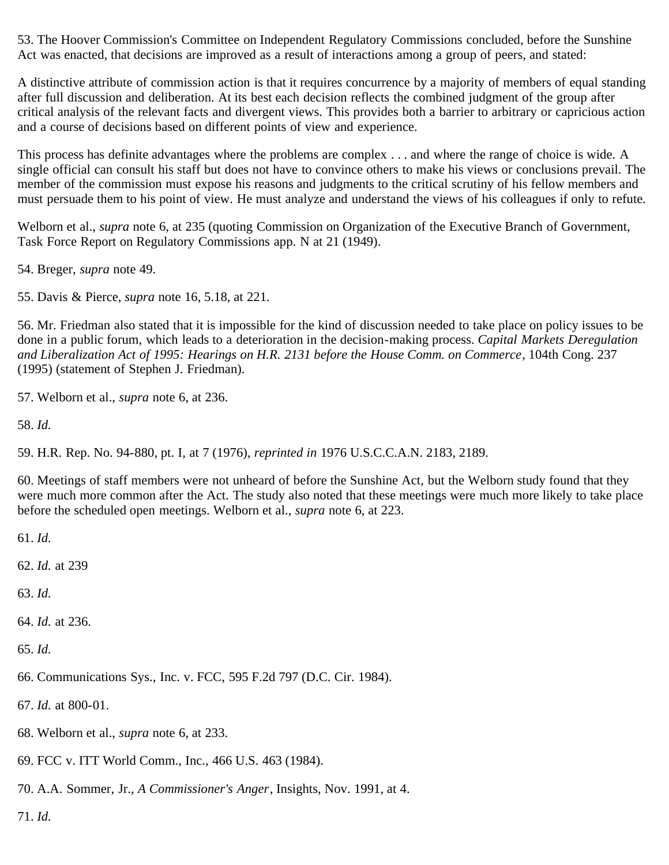<span id="page-11-0"></span>53. The Hoover Commission's Committee on Independent Regulatory Commissions concluded, before the Sunshine Act was enacted, that decisions are improved as a result of interactions among a group of peers, and stated:

A distinctive attribute of commission action is that it requires concurrence by a majority of members of equal standing after full discussion and deliberation. At its best each decision reflects the combined judgment of the group after critical analysis of the relevant facts and divergent views. This provides both a barrier to arbitrary or capricious action and a course of decisions based on different points of view and experience.

This process has definite advantages where the problems are complex . . . and where the range of choice is wide. A single official can consult his staff but does not have to convince others to make his views or conclusions prevail. The member of the commission must expose his reasons and judgments to the critical scrutiny of his fellow members and must persuade them to his point of view. He must analyze and understand the views of his colleagues if only to refute.

Welborn et al., *supra* note 6, at 235 (quoting Commission on Organization of the Executive Branch of Government, Task Force Report on Regulatory Commissions app. N at 21 (1949).

<span id="page-11-1"></span>54. Breger, *supra* note 49.

<span id="page-11-2"></span>55. Davis & Pierce, *supra* note 16, 5.18, at 221.

<span id="page-11-3"></span>56. Mr. Friedman also stated that it is impossible for the kind of discussion needed to take place on policy issues to be done in a public forum, which leads to a deterioration in the decision-making process. *Capital Markets Deregulation and Liberalization Act of 1995: Hearings on H.R. 2131 before the House Comm. on Commerce*, 104th Cong. 237 (1995) (statement of Stephen J. Friedman).

<span id="page-11-4"></span>57. Welborn et al., *supra* note 6, at 236.

<span id="page-11-5"></span>58. *Id.*

<span id="page-11-6"></span>59. H.R. Rep. No. 94-880, pt. I, at 7 (1976), *reprinted in* 1976 U.S.C.C.A.N. 2183, 2189.

<span id="page-11-7"></span>60. Meetings of staff members were not unheard of before the Sunshine Act, but the Welborn study found that they were much more common after the Act. The study also noted that these meetings were much more likely to take place before the scheduled open meetings. Welborn et al., *supra* note 6, at 223.

<span id="page-11-8"></span>61. *Id.*

<span id="page-11-9"></span>62. *Id.* at 239

<span id="page-11-10"></span>63. *Id.*

<span id="page-11-11"></span>64. *Id.* at 236.

<span id="page-11-12"></span>65. *Id.*

<span id="page-11-13"></span>66. Communications Sys., Inc. v. FCC, 595 F.2d 797 (D.C. Cir. 1984).

<span id="page-11-14"></span>67. *Id.* at 800-01.

<span id="page-11-15"></span>68. Welborn et al., *supra* note 6, at 233.

<span id="page-11-16"></span>69. FCC v. ITT World Comm., Inc., 466 U.S. 463 (1984).

<span id="page-11-17"></span>70. A.A. Sommer, Jr., *A Commissioner's Anger*, Insights, Nov. 1991, at 4.

<span id="page-11-18"></span>71. *Id.*